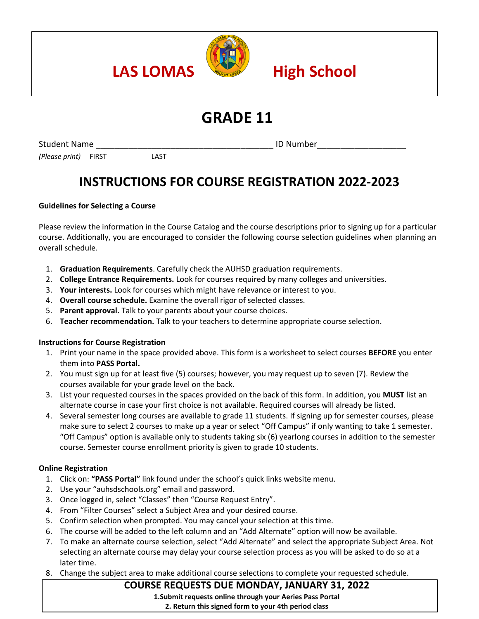

# LAS LOMAS High School

## **GRADE 11**

Student Name \_\_\_\_\_\_\_\_\_\_\_\_\_\_\_\_\_\_\_\_\_\_\_\_\_\_\_\_\_\_\_\_\_\_\_\_\_\_ ID Number\_\_\_\_\_\_\_\_\_\_\_\_\_\_\_\_\_\_\_ *(Please print)* FIRST LAST

### **INSTRUCTIONS FOR COURSE REGISTRATION 2022-2023**

#### **Guidelines for Selecting a Course**

Please review the information in the Course Catalog and the course descriptions prior to signing up for a particular course. Additionally, you are encouraged to consider the following course selection guidelines when planning an overall schedule.

- 1. **Graduation Requirements**. Carefully check the AUHSD graduation requirements.
- 2. **College Entrance Requirements.** Look for courses required by many colleges and universities.
- 3. **Your interests.** Look for courses which might have relevance or interest to you.
- 4. **Overall course schedule.** Examine the overall rigor of selected classes.
- 5. **Parent approval.** Talk to your parents about your course choices.
- 6. **Teacher recommendation.** Talk to your teachers to determine appropriate course selection.

#### **Instructions for Course Registration**

- 1. Print your name in the space provided above. This form is a worksheet to select courses **BEFORE** you enter them into **PASS Portal.**
- 2. You must sign up for at least five (5) courses; however, you may request up to seven (7). Review the courses available for your grade level on the back.
- 3. List your requested courses in the spaces provided on the back of this form. In addition, you **MUST** list an alternate course in case your first choice is not available. Required courses will already be listed.
- 4. Several semester long courses are available to grade 11 students. If signing up for semester courses, please make sure to select 2 courses to make up a year or select "Off Campus" if only wanting to take 1 semester. "Off Campus" option is available only to students taking six (6) yearlong courses in addition to the semester course. Semester course enrollment priority is given to grade 10 students.

#### **Online Registration**

- 1. Click on: **"PASS Portal"** link found under the school's quick links website menu.
- 2. Use your "auhsdschools.org" email and password.
- 3. Once logged in, select "Classes" then "Course Request Entry".
- 4. From "Filter Courses" select a Subject Area and your desired course.
- 5. Confirm selection when prompted. You may cancel your selection at this time.
- 6. The course will be added to the left column and an "Add Alternate" option will now be available.
- 7. To make an alternate course selection, select "Add Alternate" and select the appropriate Subject Area. Not selecting an alternate course may delay your course selection process as you will be asked to do so at a later time.
- 8. Change the subject area to make additional course selections to complete your requested schedule.

**COURSE REQUESTS DUE MONDAY, JANUARY 31, 2022**

**1.Submit requests online through your Aeries Pass Portal 2. Return this signed form to your 4th period class**